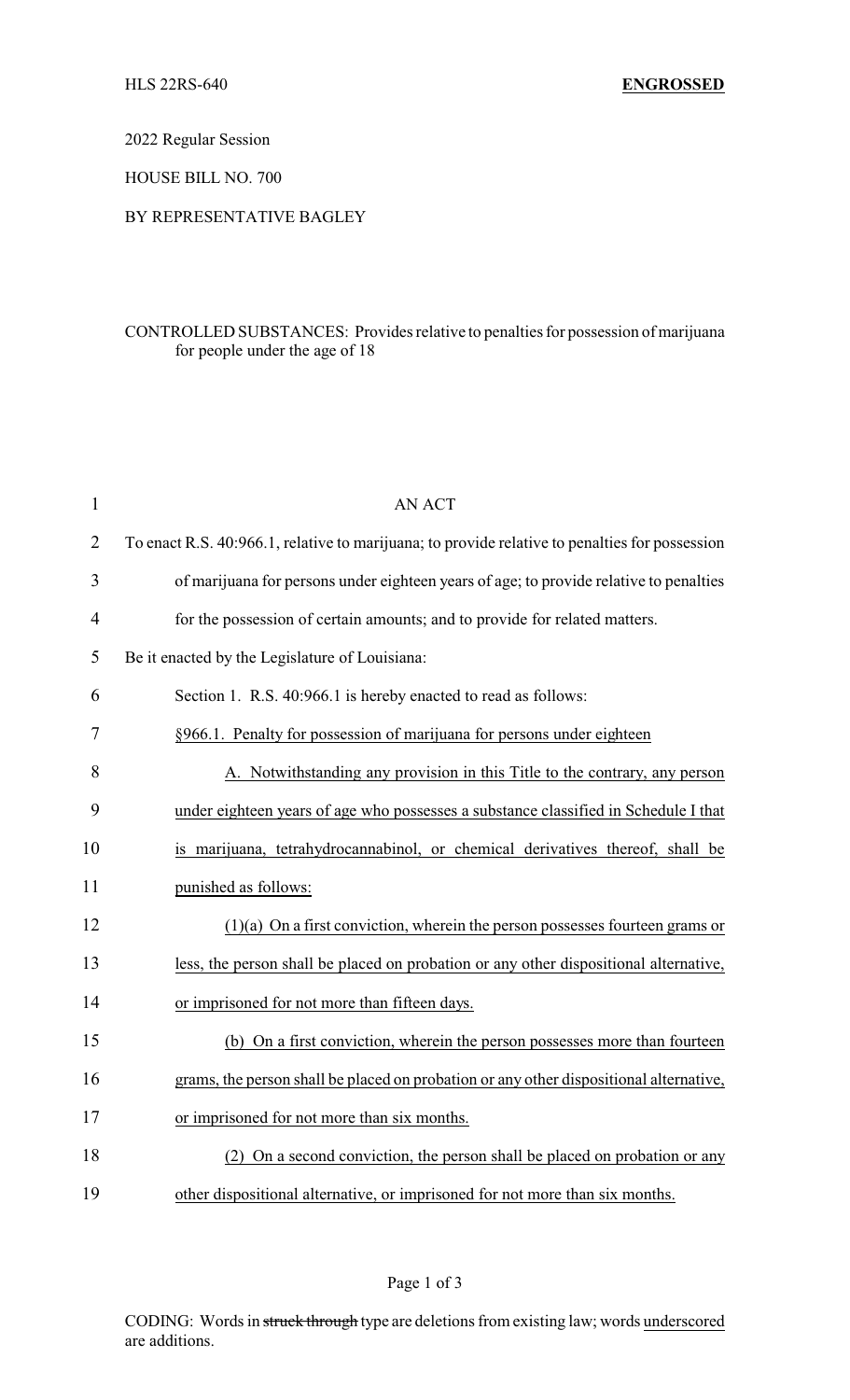2022 Regular Session

HOUSE BILL NO. 700

## BY REPRESENTATIVE BAGLEY

## CONTROLLED SUBSTANCES: Provides relative to penalties for possession of marijuana for people under the age of 18

| $\mathbf{1}$   | AN ACT                                                                                         |
|----------------|------------------------------------------------------------------------------------------------|
| $\overline{2}$ | To enact R.S. 40:966.1, relative to marijuana; to provide relative to penalties for possession |
| 3              | of marijuana for persons under eighteen years of age; to provide relative to penalties         |
| 4              | for the possession of certain amounts; and to provide for related matters.                     |
| 5              | Be it enacted by the Legislature of Louisiana:                                                 |
| 6              | Section 1. R.S. 40:966.1 is hereby enacted to read as follows:                                 |
| 7              | §966.1. Penalty for possession of marijuana for persons under eighteen                         |
| 8              | A. Notwithstanding any provision in this Title to the contrary, any person                     |
| 9              | under eighteen years of age who possesses a substance classified in Schedule I that            |
| 10             | is marijuana, tetrahydrocannabinol, or chemical derivatives thereof, shall be                  |
| 11             | punished as follows:                                                                           |
| 12             | $(1)(a)$ On a first conviction, wherein the person possesses fourteen grams or                 |
| 13             | less, the person shall be placed on probation or any other dispositional alternative,          |
| 14             | or imprisoned for not more than fifteen days.                                                  |
| 15             | (b) On a first conviction, wherein the person possesses more than fourteen                     |
| 16             | grams, the person shall be placed on probation or any other dispositional alternative,         |
| 17             | or imprisoned for not more than six months.                                                    |
| 18             | On a second conviction, the person shall be placed on probation or any                         |
| 19             | other dispositional alternative, or imprisoned for not more than six months.                   |

Page 1 of 3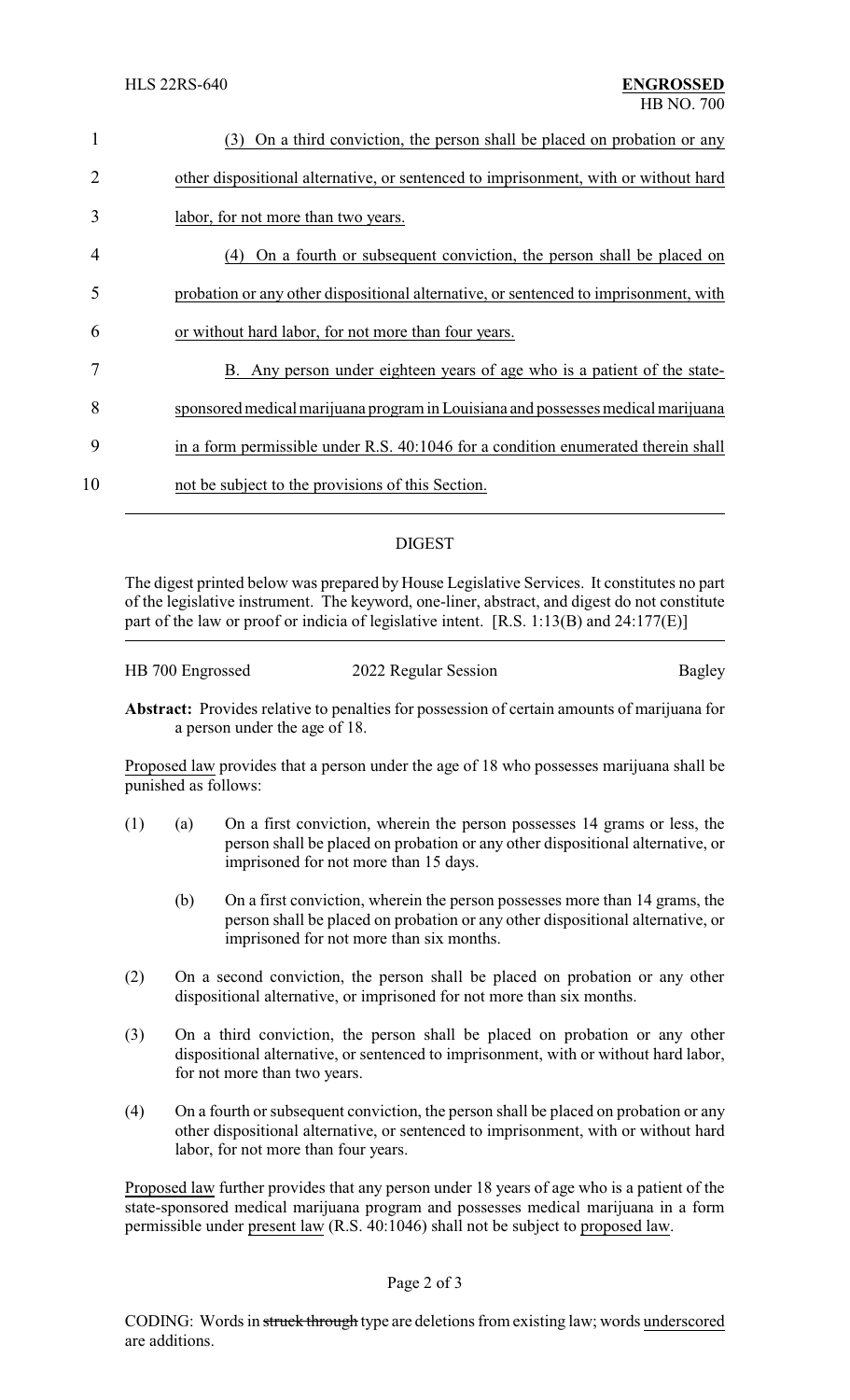| 1  | On a third conviction, the person shall be placed on probation or any<br>(3)         |
|----|--------------------------------------------------------------------------------------|
| 2  | other dispositional alternative, or sentenced to imprisonment, with or without hard  |
| 3  | labor, for not more than two years.                                                  |
| 4  | On a fourth or subsequent conviction, the person shall be placed on<br>(4)           |
| 5  | probation or any other dispositional alternative, or sentenced to imprisonment, with |
| 6  | or without hard labor, for not more than four years.                                 |
| 7  | B. Any person under eighteen years of age who is a patient of the state-             |
| 8  | sponsored medical marijuana program in Louisiana and possesses medical marijuana     |
| 9  | in a form permissible under R.S. 40:1046 for a condition enumerated therein shall    |
| 10 | not be subject to the provisions of this Section.                                    |
|    |                                                                                      |

# DIGEST

The digest printed below was prepared by House Legislative Services. It constitutes no part of the legislative instrument. The keyword, one-liner, abstract, and digest do not constitute part of the law or proof or indicia of legislative intent. [R.S. 1:13(B) and 24:177(E)]

| HB 700 Engrossed | 2022 Regular Session | Bagley |
|------------------|----------------------|--------|
|                  |                      |        |

**Abstract:** Provides relative to penalties for possession of certain amounts of marijuana for a person under the age of 18.

Proposed law provides that a person under the age of 18 who possesses marijuana shall be punished as follows:

- (1) (a) On a first conviction, wherein the person possesses 14 grams or less, the person shall be placed on probation or any other dispositional alternative, or imprisoned for not more than 15 days.
	- (b) On a first conviction, wherein the person possesses more than 14 grams, the person shall be placed on probation or any other dispositional alternative, or imprisoned for not more than six months.
- (2) On a second conviction, the person shall be placed on probation or any other dispositional alternative, or imprisoned for not more than six months.
- (3) On a third conviction, the person shall be placed on probation or any other dispositional alternative, or sentenced to imprisonment, with or without hard labor, for not more than two years.
- (4) On a fourth or subsequent conviction, the person shall be placed on probation or any other dispositional alternative, or sentenced to imprisonment, with or without hard labor, for not more than four years.

Proposed law further provides that any person under 18 years of age who is a patient of the state-sponsored medical marijuana program and possesses medical marijuana in a form permissible under present law (R.S. 40:1046) shall not be subject to proposed law.

#### Page 2 of 3